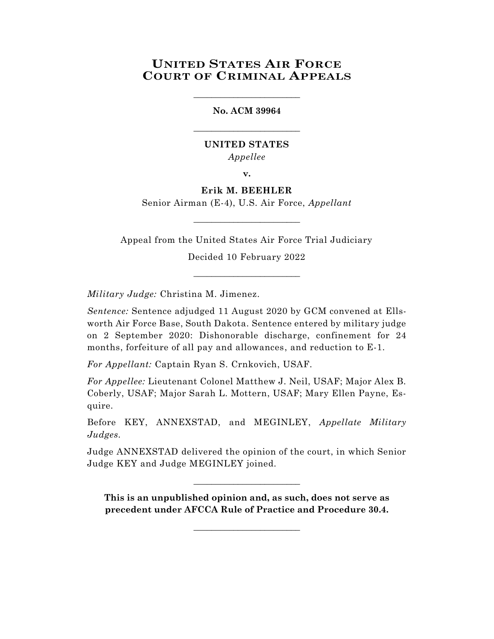# **UNITED STATES AIR FORCE COURT OF CRIMINAL APPEALS**

## **No. ACM 39964**

\_\_\_\_\_\_\_\_\_\_\_\_\_\_\_\_\_\_\_\_\_\_\_\_

\_\_\_\_\_\_\_\_\_\_\_\_\_\_\_\_\_\_\_\_\_\_\_\_

## **UNITED STATES** *Appellee*

**v.**

**Erik M. BEEHLER**

Senior Airman (E-4), U.S. Air Force, *Appellant* \_\_\_\_\_\_\_\_\_\_\_\_\_\_\_\_\_\_\_\_\_\_\_\_

Appeal from the United States Air Force Trial Judiciary Decided 10 February 2022

\_\_\_\_\_\_\_\_\_\_\_\_\_\_\_\_\_\_\_\_\_\_\_\_

*Military Judge:* Christina M. Jimenez.

*Sentence:* Sentence adjudged 11 August 2020 by GCM convened at Ellsworth Air Force Base, South Dakota. Sentence entered by military judge on 2 September 2020: Dishonorable discharge, confinement for 24 months, forfeiture of all pay and allowances, and reduction to E-1.

*For Appellant:* Captain Ryan S. Crnkovich, USAF.

*For Appellee:* Lieutenant Colonel Matthew J. Neil, USAF; Major Alex B. Coberly, USAF; Major Sarah L. Mottern, USAF; Mary Ellen Payne, Esquire.

Before KEY, ANNEXSTAD, and MEGINLEY, *Appellate Military Judges.*

Judge ANNEXSTAD delivered the opinion of the court, in which Senior Judge KEY and Judge MEGINLEY joined.

\_\_\_\_\_\_\_\_\_\_\_\_\_\_\_\_\_\_\_\_\_\_\_\_

**This is an unpublished opinion and, as such, does not serve as precedent under AFCCA Rule of Practice and Procedure 30.4.**

\_\_\_\_\_\_\_\_\_\_\_\_\_\_\_\_\_\_\_\_\_\_\_\_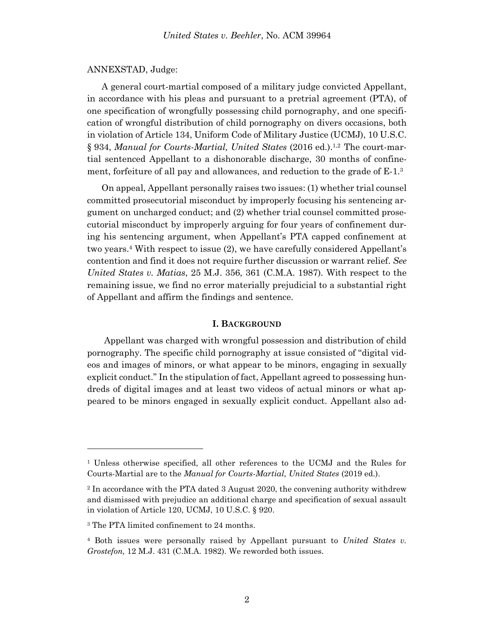#### ANNEXSTAD, Judge:

A general court-martial composed of a military judge convicted Appellant, in accordance with his pleas and pursuant to a pretrial agreement (PTA), of one specification of wrongfully possessing child pornography, and one specification of wrongful distribution of child pornography on divers occasions, both in violation of Article 134, Uniform Code of Military Justice (UCMJ), 10 U.S.C. § 934, *Manual for Courts-Martial, United States* (2016 ed.). 1,2 The court-martial sentenced Appellant to a dishonorable discharge, 30 months of confinement, forfeiture of all pay and allowances, and reduction to the grade of E-1.<sup>3</sup>

On appeal, Appellant personally raises two issues: (1) whether trial counsel committed prosecutorial misconduct by improperly focusing his sentencing argument on uncharged conduct; and (2) whether trial counsel committed prosecutorial misconduct by improperly arguing for four years of confinement during his sentencing argument, when Appellant's PTA capped confinement at two years.<sup>4</sup> With respect to issue (2), we have carefully considered Appellant's contention and find it does not require further discussion or warrant relief. *See United States v. Matias*, 25 M.J. 356, 361 (C.M.A. 1987). With respect to the remaining issue, we find no error materially prejudicial to a substantial right of Appellant and affirm the findings and sentence.

#### **I. BACKGROUND**

Appellant was charged with wrongful possession and distribution of child pornography. The specific child pornography at issue consisted of "digital videos and images of minors, or what appear to be minors, engaging in sexually explicit conduct." In the stipulation of fact, Appellant agreed to possessing hundreds of digital images and at least two videos of actual minors or what appeared to be minors engaged in sexually explicit conduct. Appellant also ad-

l

<sup>1</sup> Unless otherwise specified, all other references to the UCMJ and the Rules for Courts-Martial are to the *Manual for Courts-Martial, United States* (2019 ed.).

<sup>2</sup> In accordance with the PTA dated 3 August 2020, the convening authority withdrew and dismissed with prejudice an additional charge and specification of sexual assault in violation of Article 120, UCMJ, 10 U.S.C. § 920.

<sup>3</sup> The PTA limited confinement to 24 months.

<sup>4</sup> Both issues were personally raised by Appellant pursuant to *United States v. Grostefon,* 12 M.J. 431 (C.M.A. 1982). We reworded both issues.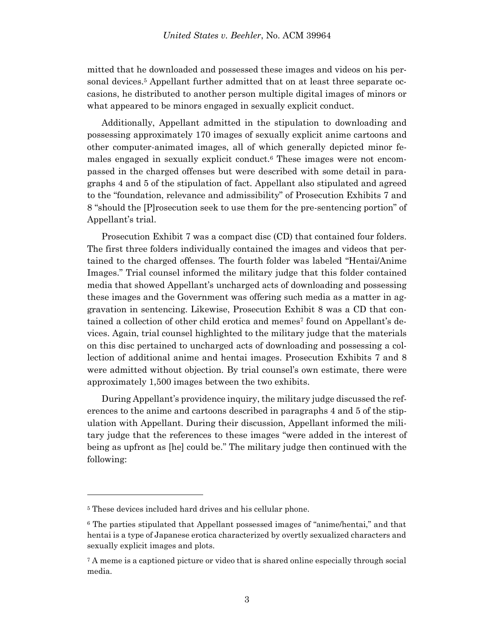mitted that he downloaded and possessed these images and videos on his personal devices. <sup>5</sup> Appellant further admitted that on at least three separate occasions, he distributed to another person multiple digital images of minors or what appeared to be minors engaged in sexually explicit conduct.

Additionally, Appellant admitted in the stipulation to downloading and possessing approximately 170 images of sexually explicit anime cartoons and other computer-animated images, all of which generally depicted minor females engaged in sexually explicit conduct.<sup>6</sup> These images were not encompassed in the charged offenses but were described with some detail in paragraphs 4 and 5 of the stipulation of fact. Appellant also stipulated and agreed to the "foundation, relevance and admissibility" of Prosecution Exhibits 7 and 8 "should the [P]rosecution seek to use them for the pre-sentencing portion" of Appellant's trial.

Prosecution Exhibit 7 was a compact disc (CD) that contained four folders. The first three folders individually contained the images and videos that pertained to the charged offenses. The fourth folder was labeled "Hentai/Anime Images." Trial counsel informed the military judge that this folder contained media that showed Appellant's uncharged acts of downloading and possessing these images and the Government was offering such media as a matter in aggravation in sentencing. Likewise, Prosecution Exhibit 8 was a CD that contained a collection of other child erotica and memes<sup>7</sup> found on Appellant's devices. Again, trial counsel highlighted to the military judge that the materials on this disc pertained to uncharged acts of downloading and possessing a collection of additional anime and hentai images. Prosecution Exhibits 7 and 8 were admitted without objection. By trial counsel's own estimate, there were approximately 1,500 images between the two exhibits.

During Appellant's providence inquiry, the military judge discussed the references to the anime and cartoons described in paragraphs 4 and 5 of the stipulation with Appellant. During their discussion, Appellant informed the military judge that the references to these images "were added in the interest of being as upfront as [he] could be." The military judge then continued with the following:

l

<sup>5</sup> These devices included hard drives and his cellular phone.

<sup>6</sup> The parties stipulated that Appellant possessed images of "anime/hentai," and that hentai is a type of Japanese erotica characterized by overtly sexualized characters and sexually explicit images and plots.

<sup>7</sup> A meme is a captioned picture or video that is shared online especially through social media.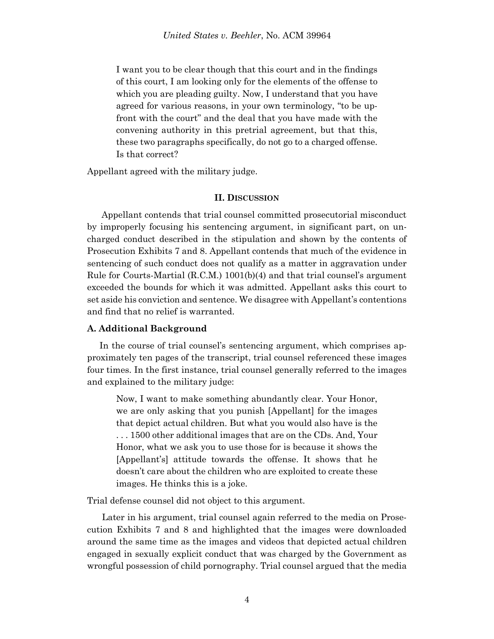I want you to be clear though that this court and in the findings of this court, I am looking only for the elements of the offense to which you are pleading guilty. Now, I understand that you have agreed for various reasons, in your own terminology, "to be upfront with the court" and the deal that you have made with the convening authority in this pretrial agreement, but that this, these two paragraphs specifically, do not go to a charged offense. Is that correct?

Appellant agreed with the military judge.

## **II. DISCUSSION**

Appellant contends that trial counsel committed prosecutorial misconduct by improperly focusing his sentencing argument, in significant part, on uncharged conduct described in the stipulation and shown by the contents of Prosecution Exhibits 7 and 8. Appellant contends that much of the evidence in sentencing of such conduct does not qualify as a matter in aggravation under Rule for Courts-Martial (R.C.M.) 1001(b)(4) and that trial counsel's argument exceeded the bounds for which it was admitted. Appellant asks this court to set aside his conviction and sentence. We disagree with Appellant's contentions and find that no relief is warranted.

#### **A. Additional Background**

 In the course of trial counsel's sentencing argument, which comprises approximately ten pages of the transcript, trial counsel referenced these images four times. In the first instance, trial counsel generally referred to the images and explained to the military judge:

Now, I want to make something abundantly clear. Your Honor, we are only asking that you punish [Appellant] for the images that depict actual children. But what you would also have is the . . . 1500 other additional images that are on the CDs. And, Your Honor, what we ask you to use those for is because it shows the [Appellant's] attitude towards the offense. It shows that he doesn't care about the children who are exploited to create these images. He thinks this is a joke.

Trial defense counsel did not object to this argument.

 Later in his argument, trial counsel again referred to the media on Prosecution Exhibits 7 and 8 and highlighted that the images were downloaded around the same time as the images and videos that depicted actual children engaged in sexually explicit conduct that was charged by the Government as wrongful possession of child pornography. Trial counsel argued that the media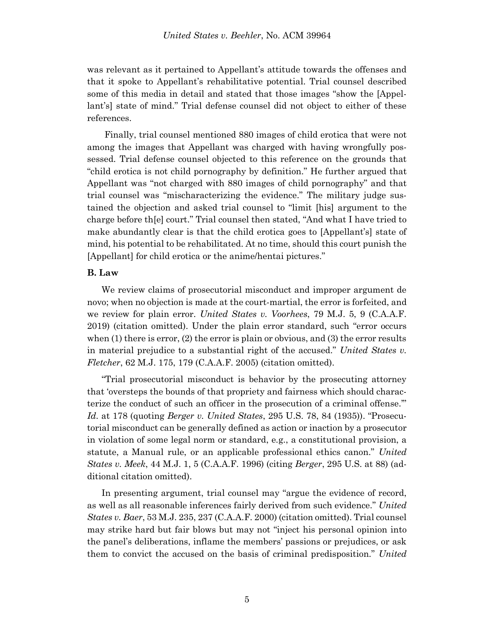was relevant as it pertained to Appellant's attitude towards the offenses and that it spoke to Appellant's rehabilitative potential. Trial counsel described some of this media in detail and stated that those images "show the [Appellant's] state of mind." Trial defense counsel did not object to either of these references.

 Finally, trial counsel mentioned 880 images of child erotica that were not among the images that Appellant was charged with having wrongfully possessed. Trial defense counsel objected to this reference on the grounds that "child erotica is not child pornography by definition." He further argued that Appellant was "not charged with 880 images of child pornography" and that trial counsel was "mischaracterizing the evidence." The military judge sustained the objection and asked trial counsel to "limit [his] argument to the charge before th[e] court." Trial counsel then stated, "And what I have tried to make abundantly clear is that the child erotica goes to [Appellant's] state of mind, his potential to be rehabilitated. At no time, should this court punish the [Appellant] for child erotica or the anime/hentai pictures."

#### **B. Law**

We review claims of prosecutorial misconduct and improper argument de novo; when no objection is made at the court-martial, the error is forfeited, and we review for plain error. *United States v. Voorhees*, 79 M.J. 5, 9 (C.A.A.F. 2019) (citation omitted). Under the plain error standard, such "error occurs when  $(1)$  there is error,  $(2)$  the error is plain or obvious, and  $(3)$  the error results in material prejudice to a substantial right of the accused." *United States v. Fletcher*, 62 M.J. 175, 179 (C.A.A.F. 2005) (citation omitted).

"Trial prosecutorial misconduct is behavior by the prosecuting attorney that 'oversteps the bounds of that propriety and fairness which should characterize the conduct of such an officer in the prosecution of a criminal offense.'" *Id.* at 178 (quoting *Berger v. United States*, 295 U.S. 78, 84 (1935)). "Prosecutorial misconduct can be generally defined as action or inaction by a prosecutor in violation of some legal norm or standard, e.g., a constitutional provision, a statute, a Manual rule, or an applicable professional ethics canon." *United States v. Meek*, 44 M.J. 1, 5 (C.A.A.F. 1996) (citing *Berger*, 295 U.S. at 88) (additional citation omitted).

In presenting argument, trial counsel may "argue the evidence of record, as well as all reasonable inferences fairly derived from such evidence." *United States v. Baer*, 53 M.J. 235, 237 (C.A.A.F. 2000) (citation omitted). Trial counsel may strike hard but fair blows but may not "inject his personal opinion into the panel's deliberations, inflame the members' passions or prejudices, or ask them to convict the accused on the basis of criminal predisposition." *United*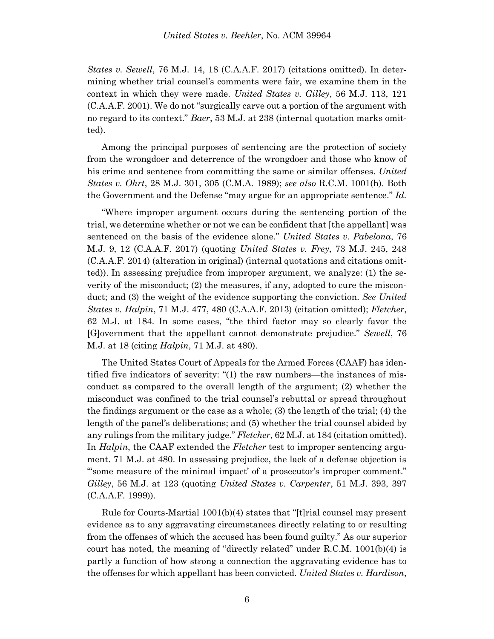*States v. Sewell*, 76 M.J. 14, 18 (C.A.A.F. 2017) (citations omitted). In determining whether trial counsel's comments were fair, we examine them in the context in which they were made. *United States v. Gilley*, 56 M.J. 113, 121 (C.A.A.F. 2001). We do not "surgically carve out a portion of the argument with no regard to its context." *Baer*, 53 M.J. at 238 (internal quotation marks omitted).

Among the principal purposes of sentencing are the protection of society from the wrongdoer and deterrence of the wrongdoer and those who know of his crime and sentence from committing the same or similar offenses. *United States v. Ohrt*, 28 M.J. 301, 305 (C.M.A. 1989); *see also* R.C.M. 1001(h). Both the Government and the Defense "may argue for an appropriate sentence." *Id.*

"Where improper argument occurs during the sentencing portion of the trial, we determine whether or not we can be confident that [the appellant] was sentenced on the basis of the evidence alone." *United States v. Pabelona*, 76 M.J. 9, 12 (C.A.A.F. 2017) (quoting *United States v. Frey*, 73 M.J. 245, 248 (C.A.A.F. 2014) (alteration in original) (internal quotations and citations omitted)). In assessing prejudice from improper argument, we analyze: (1) the severity of the misconduct; (2) the measures, if any, adopted to cure the misconduct; and (3) the weight of the evidence supporting the conviction. *See United States v. Halpin*, 71 M.J. 477, 480 (C.A.A.F. 2013) (citation omitted); *Fletcher*, 62 M.J. at 184. In some cases, "the third factor may so clearly favor the [G]overnment that the appellant cannot demonstrate prejudice." *Sewell*, 76 M.J. at 18 (citing *Halpin*, 71 M.J. at 480).

The United States Court of Appeals for the Armed Forces (CAAF) has identified five indicators of severity: "(1) the raw numbers—the instances of misconduct as compared to the overall length of the argument; (2) whether the misconduct was confined to the trial counsel's rebuttal or spread throughout the findings argument or the case as a whole; (3) the length of the trial; (4) the length of the panel's deliberations; and (5) whether the trial counsel abided by any rulings from the military judge." *Fletcher*, 62 M.J. at 184 (citation omitted). In *Halpin*, the CAAF extended the *Fletcher* test to improper sentencing argument. 71 M.J. at 480. In assessing prejudice, the lack of a defense objection is "'some measure of the minimal impact' of a prosecutor's improper comment." *Gilley*, 56 M.J. at 123 (quoting *United States v. Carpenter*, 51 M.J. 393, 397 (C.A.A.F. 1999)).

 Rule for Courts-Martial 1001(b)(4) states that "[t]rial counsel may present evidence as to any aggravating circumstances directly relating to or resulting from the offenses of which the accused has been found guilty." As our superior court has noted, the meaning of "directly related" under R.C.M. 1001(b)(4) is partly a function of how strong a connection the aggravating evidence has to the offenses for which appellant has been convicted. *United States v. Hardison*,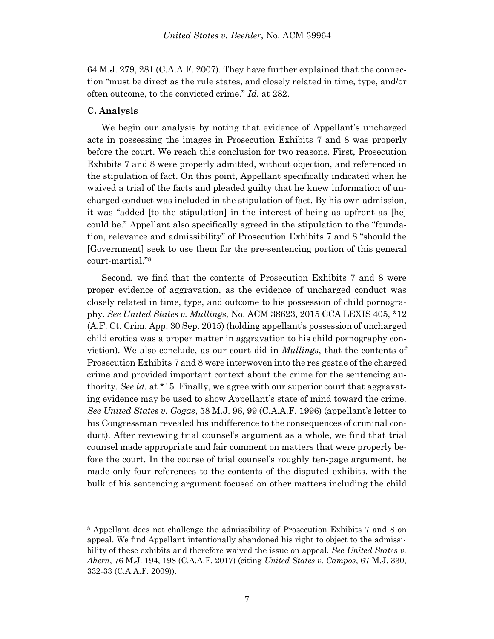64 M.J. 279, 281 (C.A.A.F. 2007). They have further explained that the connection "must be direct as the rule states, and closely related in time, type, and/or often outcome, to the convicted crime." *Id.* at 282.

## **C. Analysis**

l

We begin our analysis by noting that evidence of Appellant's uncharged acts in possessing the images in Prosecution Exhibits 7 and 8 was properly before the court. We reach this conclusion for two reasons. First, Prosecution Exhibits 7 and 8 were properly admitted, without objection, and referenced in the stipulation of fact. On this point, Appellant specifically indicated when he waived a trial of the facts and pleaded guilty that he knew information of uncharged conduct was included in the stipulation of fact. By his own admission, it was "added [to the stipulation] in the interest of being as upfront as [he] could be." Appellant also specifically agreed in the stipulation to the "foundation, relevance and admissibility" of Prosecution Exhibits 7 and 8 "should the [Government] seek to use them for the pre-sentencing portion of this general court-martial."<sup>8</sup>

Second, we find that the contents of Prosecution Exhibits 7 and 8 were proper evidence of aggravation, as the evidence of uncharged conduct was closely related in time, type, and outcome to his possession of child pornography. *See United States v. Mullings,* No. ACM 38623, 2015 CCA LEXIS 405, \*12 (A.F. Ct. Crim. App. 30 Sep. 2015) (holding appellant's possession of uncharged child erotica was a proper matter in aggravation to his child pornography conviction). We also conclude, as our court did in *Mullings*, that the contents of Prosecution Exhibits 7 and 8 were interwoven into the res gestae of the charged crime and provided important context about the crime for the sentencing authority. *See id.* at \*15*.* Finally, we agree with our superior court that aggravating evidence may be used to show Appellant's state of mind toward the crime. *See United States v. Gogas*, 58 M.J. 96, 99 (C.A.A.F. 1996) (appellant's letter to his Congressman revealed his indifference to the consequences of criminal conduct). After reviewing trial counsel's argument as a whole, we find that trial counsel made appropriate and fair comment on matters that were properly before the court. In the course of trial counsel's roughly ten-page argument, he made only four references to the contents of the disputed exhibits, with the bulk of his sentencing argument focused on other matters including the child

<sup>8</sup> Appellant does not challenge the admissibility of Prosecution Exhibits 7 and 8 on appeal. We find Appellant intentionally abandoned his right to object to the admissibility of these exhibits and therefore waived the issue on appeal. *See United States v. Ahern*, 76 M.J. 194, 198 (C.A.A.F. 2017) (citing *United States v. Campos*, 67 M.J. 330, 332-33 (C.A.A.F. 2009)).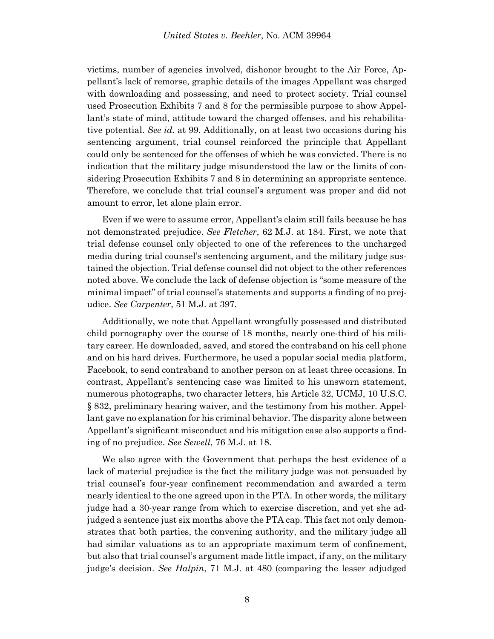victims, number of agencies involved, dishonor brought to the Air Force, Appellant's lack of remorse, graphic details of the images Appellant was charged with downloading and possessing, and need to protect society. Trial counsel used Prosecution Exhibits 7 and 8 for the permissible purpose to show Appellant's state of mind, attitude toward the charged offenses, and his rehabilitative potential. *See id.* at 99*.* Additionally, on at least two occasions during his sentencing argument, trial counsel reinforced the principle that Appellant could only be sentenced for the offenses of which he was convicted. There is no indication that the military judge misunderstood the law or the limits of considering Prosecution Exhibits 7 and 8 in determining an appropriate sentence. Therefore, we conclude that trial counsel's argument was proper and did not amount to error, let alone plain error.

 Even if we were to assume error, Appellant's claim still fails because he has not demonstrated prejudice. *See Fletcher*, 62 M.J. at 184. First, we note that trial defense counsel only objected to one of the references to the uncharged media during trial counsel's sentencing argument, and the military judge sustained the objection. Trial defense counsel did not object to the other references noted above. We conclude the lack of defense objection is "some measure of the minimal impact" of trial counsel's statements and supports a finding of no prejudice. *See Carpenter*, 51 M.J. at 397.

Additionally, we note that Appellant wrongfully possessed and distributed child pornography over the course of 18 months, nearly one-third of his military career. He downloaded, saved, and stored the contraband on his cell phone and on his hard drives. Furthermore, he used a popular social media platform, Facebook, to send contraband to another person on at least three occasions. In contrast, Appellant's sentencing case was limited to his unsworn statement, numerous photographs, two character letters, his Article 32, UCMJ, 10 U.S.C. § 832, preliminary hearing waiver, and the testimony from his mother. Appellant gave no explanation for his criminal behavior. The disparity alone between Appellant's significant misconduct and his mitigation case also supports a finding of no prejudice. *See Sewell*, 76 M.J. at 18.

 We also agree with the Government that perhaps the best evidence of a lack of material prejudice is the fact the military judge was not persuaded by trial counsel's four-year confinement recommendation and awarded a term nearly identical to the one agreed upon in the PTA. In other words, the military judge had a 30-year range from which to exercise discretion, and yet she adjudged a sentence just six months above the PTA cap. This fact not only demonstrates that both parties, the convening authority, and the military judge all had similar valuations as to an appropriate maximum term of confinement, but also that trial counsel's argument made little impact, if any, on the military judge's decision. *See Halpin*, 71 M.J. at 480 (comparing the lesser adjudged